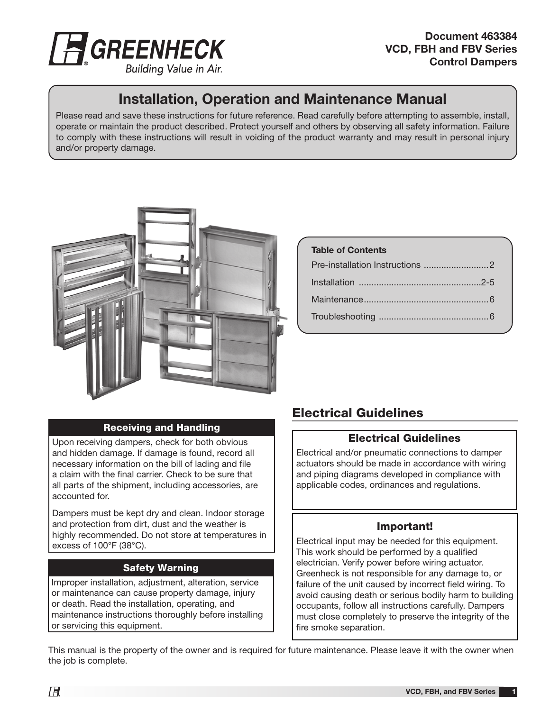

#### Building Value in Air.

# Installation, Operation and Maintenance Manual

Please read and save these instructions for future reference. Read carefully before attempting to assemble, install, operate or maintain the product described. Protect yourself and others by observing all safety information. Failure to comply with these instructions will result in voiding of the product warranty and may result in personal injury and/or property damage.



# Table of Contents Pre-installation Instructions ..........................2 Installation .................................................2-5 Maintenance..................................................6 Troubleshooting ............................................6

#### Receiving and Handling

Upon receiving dampers, check for both obvious and hidden damage. If damage is found, record all necessary information on the bill of lading and file a claim with the final carrier. Check to be sure that all parts of the shipment, including accessories, are accounted for.

Dampers must be kept dry and clean. Indoor storage and protection from dirt, dust and the weather is highly recommended. Do not store at temperatures in excess of 100°F (38°C).

#### Safety Warning

Improper installation, adjustment, alteration, service or maintenance can cause property damage, injury or death. Read the installation, operating, and maintenance instructions thoroughly before installing or servicing this equipment.

## Electrical Guidelines

#### Electrical Guidelines

Electrical and/or pneumatic connections to damper actuators should be made in accordance with wiring and piping diagrams developed in compliance with applicable codes, ordinances and regulations.

#### Important!

Electrical input may be needed for this equipment. This work should be performed by a qualified electrician. Verify power before wiring actuator. Greenheck is not responsible for any damage to, or failure of the unit caused by incorrect field wiring. To avoid causing death or serious bodily harm to building occupants, follow all instructions carefully. Dampers must close completely to preserve the integrity of the fire smoke separation.

This manual is the property of the owner and is required for future maintenance. Please leave it with the owner when the job is complete.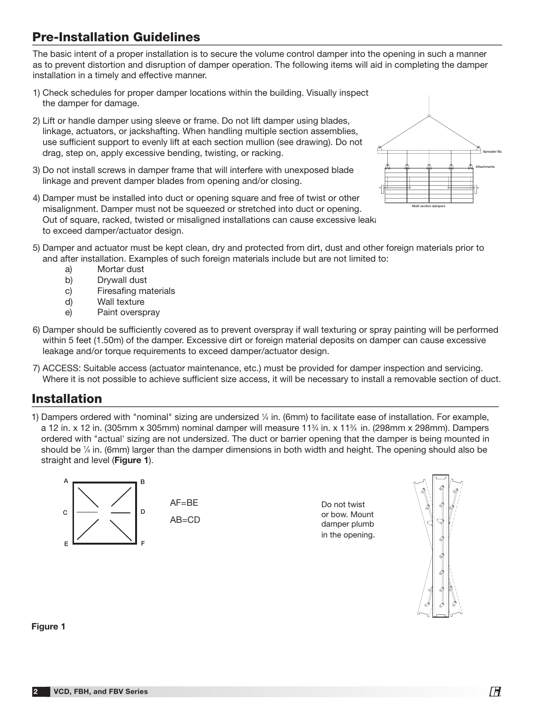# Pre-Installation Guidelines

The basic intent of a proper installation is to secure the volume control damper into the opening in such a manner as to prevent distortion and disruption of damper operation. The following items will aid in completing the damper installation in a timely and effective manner.

- 1) Check schedules for proper damper locations within the building. Visually inspect the damper for damage.
- 2) Lift or handle damper using sleeve or frame. Do not lift damper using blades, linkage, actuators, or jackshafting. When handling multiple section assemblies, use sufficient support to evenly lift at each section mullion (see drawing). Do not drag, step on, apply excessive bending, twisting, or racking.
- 3) Do not install screws in damper frame that will interfere with unexposed blade linkage and prevent damper blades from opening and/or closing.





- 5) Damper and actuator must be kept clean, dry and protected from dirt, dust and other foreign materials prior to and after installation. Examples of such foreign materials include but are not limited to:
	- a) Mortar dust
	- b) Drywall dust
	- c) Firesafing materials
	- d) Wall texture
	- e) Paint overspray
- 6) Damper should be sufficiently covered as to prevent overspray if wall texturing or spray painting will be performed within 5 feet (1.50m) of the damper. Excessive dirt or foreign material deposits on damper can cause excessive leakage and/or torque requirements to exceed damper/actuator design.
- 7) ACCESS: Suitable access (actuator maintenance, etc.) must be provided for damper inspection and servicing. Where it is not possible to achieve sufficient size access, it will be necessary to install a removable section of duct.

### Installation

1) Dampers ordered with "nominal" sizing are undersized  $\frac{1}{4}$  in. (6mm) to facilitate ease of installation. For example, a 12 in. x 12 in. (305mm x 305mm) nominal damper will measure 11<sup>3</sup>/4 in. x 11<sup>3</sup>/4 in. (298mm x 298mm). Dampers ordered with "actual' sizing are not undersized. The duct or barrier opening that the damper is being mounted in should be  $\frac{1}{4}$  in. (6mm) larger than the damper dimensions in both width and height. The opening should also be straight and level (Figure 1).



AB=CD

Do not twist or bow. Mount damper plumb in the opening.



#### Figure 1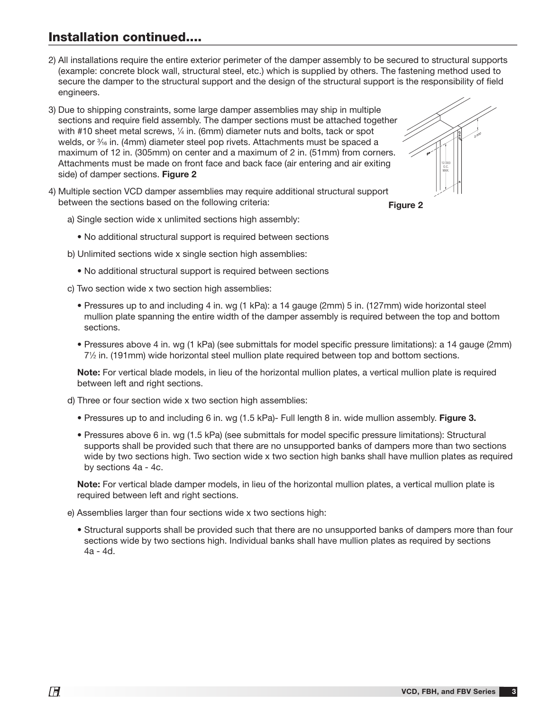## Installation continued....

- 2) All installations require the entire exterior perimeter of the damper assembly to be secured to structural supports (example: concrete block wall, structural steel, etc.) which is supplied by others. The fastening method used to secure the damper to the structural support and the design of the structural support is the responsibility of field engineers.
- 3) Due to shipping constraints, some large damper assemblies may ship in multiple sections and require field assembly. The damper sections must be attached together with #10 sheet metal screws, 1⁄4 in. (6mm) diameter nuts and bolts, tack or spot welds, or  $\frac{3}{16}$  in. (4mm) diameter steel pop rivets. Attachments must be spaced a maximum of 12 in. (305mm) on center and a maximum of 2 in. (51mm) from corners. Attachments must be made on front face and back face (air entering and air exiting side) of damper sections. Figure 2
- 4) Multiple section VCD damper assemblies may require additional structural support between the sections based on the following criteria:



Figure 2

- a) Single section wide x unlimited sections high assembly:
	- No additional structural support is required between sections
- b) Unlimited sections wide x single section high assemblies:
	- No additional structural support is required between sections
- c) Two section wide x two section high assemblies:
	- Pressures up to and including 4 in. wg (1 kPa): a 14 gauge (2mm) 5 in. (127mm) wide horizontal steel mullion plate spanning the entire width of the damper assembly is required between the top and bottom sections.
	- Pressures above 4 in. wg (1 kPa) (see submittals for model specific pressure limitations): a 14 gauge (2mm) 71 ⁄2 in. (191mm) wide horizontal steel mullion plate required between top and bottom sections.

 Note: For vertical blade models, in lieu of the horizontal mullion plates, a vertical mullion plate is required between left and right sections.

- d) Three or four section wide x two section high assemblies:
	- Pressures up to and including 6 in. wg (1.5 kPa)- Full length 8 in. wide mullion assembly. Figure 3.
	- Pressures above 6 in. wg (1.5 kPa) (see submittals for model specific pressure limitations): Structural supports shall be provided such that there are no unsupported banks of dampers more than two sections wide by two sections high. Two section wide x two section high banks shall have mullion plates as required by sections 4a - 4c.

 Note: For vertical blade damper models, in lieu of the horizontal mullion plates, a vertical mullion plate is required between left and right sections.

- e) Assemblies larger than four sections wide x two sections high:
	- Structural supports shall be provided such that there are no unsupported banks of dampers more than four sections wide by two sections high. Individual banks shall have mullion plates as required by sections 4a - 4d.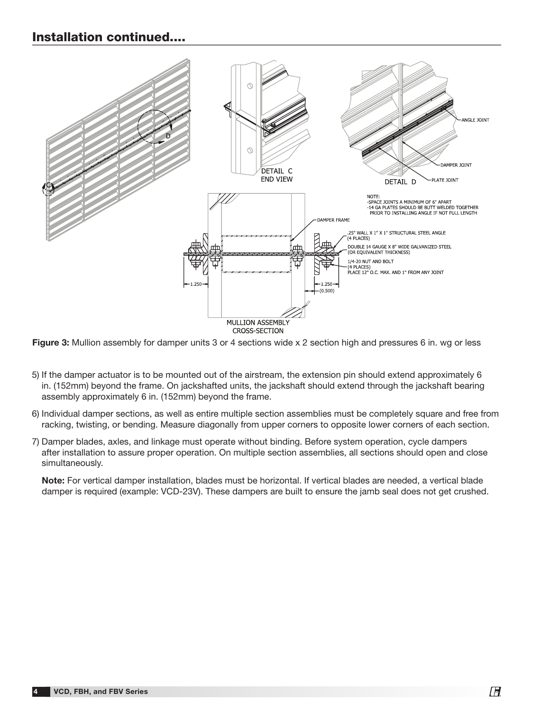### Installation continued....



Figure 3: Mullion assembly for damper units 3 or 4 sections wide x 2 section high and pressures 6 in. wg or less

- 5) If the damper actuator is to be mounted out of the airstream, the extension pin should extend approximately 6 in. (152mm) beyond the frame. On jackshafted units, the jackshaft should extend through the jackshaft bearing assembly approximately 6 in. (152mm) beyond the frame.
- 6) Individual damper sections, as well as entire multiple section assemblies must be completely square and free from racking, twisting, or bending. Measure diagonally from upper corners to opposite lower corners of each section.
- 7) Damper blades, axles, and linkage must operate without binding. Before system operation, cycle dampers after installation to assure proper operation. On multiple section assemblies, all sections should open and close simultaneously.

Note: For vertical damper installation, blades must be horizontal. If vertical blades are needed, a vertical blade damper is required (example: VCD-23V). These dampers are built to ensure the jamb seal does not get crushed.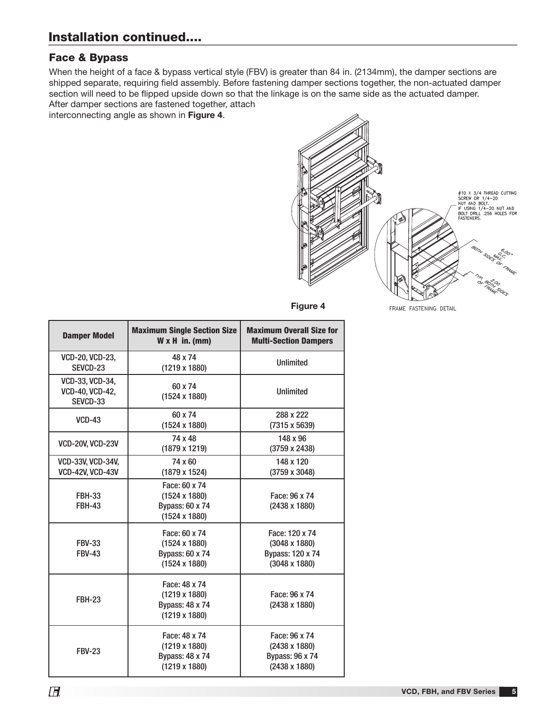## Installation continued....

#### Face & Bypass

When the height of a face & bypass vertical style (FBV) is greater than 84 in. (2134mm), the damper sections are shipped separate, requiring field assembly. Before fastening damper sections together, the non-actuated damper section will need to be flipped upside down so that the linkage is on the same side as the actuated damper. After damper sections are fastened together, attach

interconnecting angle as shown in Figure 4.



FRAME FASTENING DETAIL

| <b>Damper Model</b>                                   | <b>Maximum Single Section Size</b><br>$W \times H$ in. (mm)                             | <b>Maximum Overall Size for</b><br><b>Multi-Section Dampers</b>                    |
|-------------------------------------------------------|-----------------------------------------------------------------------------------------|------------------------------------------------------------------------------------|
| <b>VCD-20, VCD-23,</b><br>SEVCD-23                    | 48 x 74<br>$(1219 \times 1880)$                                                         | <b>Unlimited</b>                                                                   |
| VCD-33, VCD-34,<br><b>VCD-40, VCD-42,</b><br>SEVCD-33 | 60 x 74<br>$(1524 \times 1880)$                                                         | <b>Unlimited</b>                                                                   |
| <b>VCD-43</b>                                         | 60 x 74<br>$(1524 \times 1880)$                                                         | 288 x 222<br>(7315 x 5639)                                                         |
| <b>VCD-20V, VCD-23V</b>                               | 74 x 48<br>$(1879 \times 1219)$                                                         | 148 x 96<br>(3759 x 2438)                                                          |
| <b>VCD-33V, VCD-34V,</b><br><b>VCD-42V, VCD-43V</b>   | 74 x 60<br>(1879 x 1524)                                                                | 148 x 120<br>(3759 x 3048)                                                         |
| <b>FBH-33</b><br><b>FBH-43</b>                        | Face: 60 x 74<br>$(1524 \times 1880)$<br><b>Bypass: 60 x 74</b><br>$(1524 \times 1880)$ | Face: 96 x 74<br>(2438 x 1880)                                                     |
| <b>FBV-33</b><br><b>FBV-43</b>                        | Face: 60 x 74<br>$(1524 \times 1880)$<br><b>Bypass: 60 x 74</b><br>$(1524 \times 1880)$ | Face: 120 x 74<br>$(3048 \times 1880)$<br>Bypass: 120 x 74<br>$(3048 \times 1880)$ |
| <b>FBH-23</b>                                         | Face: 48 x 74<br>$(1219 \times 1880)$<br><b>Bypass: 48 x 74</b><br>$(1219 \times 1880)$ | Face: 96 x 74<br>(2438 x 1880)                                                     |
| <b>FBV-23</b>                                         | Face: 48 x 74<br>$(1219 \times 1880)$<br><b>Bypass: 48 x 74</b><br>$(1219 \times 1880)$ | Face: 96 x 74<br>(2438 x 1880)<br><b>Bypass: 96 x 74</b><br>(2438 x 1880)          |